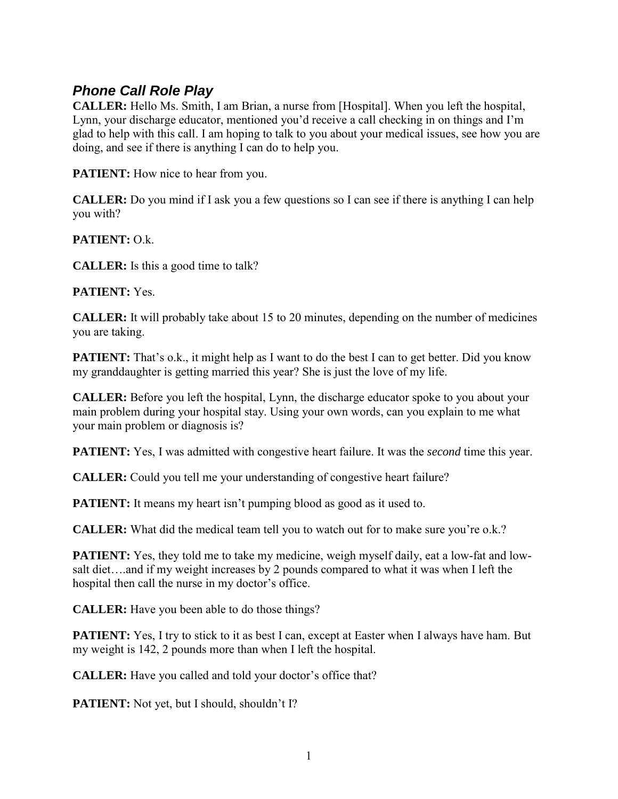## *Phone Call Role Play*

**CALLER:** Hello Ms. Smith, I am Brian, a nurse from [Hospital]. When you left the hospital, Lynn, your discharge educator, mentioned you'd receive a call checking in on things and I'm glad to help with this call. I am hoping to talk to you about your medical issues, see how you are doing, and see if there is anything I can do to help you.

**PATIENT:** How nice to hear from you.

**CALLER:** Do you mind if I ask you a few questions so I can see if there is anything I can help you with?

## **PATIENT:** O.k.

**CALLER:** Is this a good time to talk?

**PATIENT:** Yes.

**CALLER:** It will probably take about 15 to 20 minutes, depending on the number of medicines you are taking.

**PATIENT:** That's o.k., it might help as I want to do the best I can to get better. Did you know my granddaughter is getting married this year? She is just the love of my life.

**CALLER:** Before you left the hospital, Lynn, the discharge educator spoke to you about your main problem during your hospital stay. Using your own words, can you explain to me what your main problem or diagnosis is?

**PATIENT:** Yes, I was admitted with congestive heart failure. It was the *second* time this year.

**CALLER:** Could you tell me your understanding of congestive heart failure?

**PATIENT:** It means my heart isn't pumping blood as good as it used to.

**CALLER:** What did the medical team tell you to watch out for to make sure you're o.k.?

**PATIENT:** Yes, they told me to take my medicine, weigh myself daily, eat a low-fat and lowsalt diet….and if my weight increases by 2 pounds compared to what it was when I left the hospital then call the nurse in my doctor's office.

**CALLER:** Have you been able to do those things?

**PATIENT:** Yes, I try to stick to it as best I can, except at Easter when I always have ham. But my weight is 142, 2 pounds more than when I left the hospital.

**CALLER:** Have you called and told your doctor's office that?

**PATIENT:** Not yet, but I should, shouldn't I?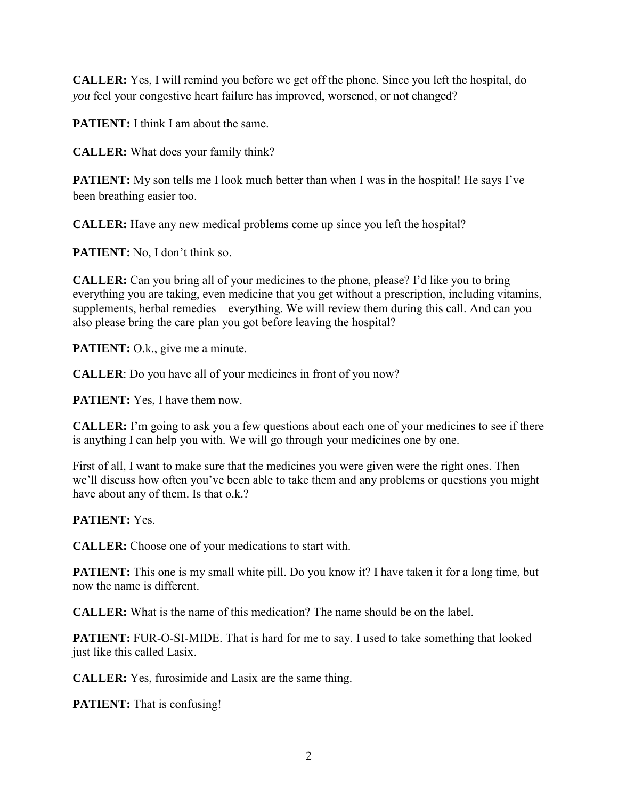**CALLER:** Yes, I will remind you before we get off the phone. Since you left the hospital, do *you* feel your congestive heart failure has improved, worsened, or not changed?

**PATIENT:** I think I am about the same.

**CALLER:** What does your family think?

**PATIENT:** My son tells me I look much better than when I was in the hospital! He says I've been breathing easier too.

**CALLER:** Have any new medical problems come up since you left the hospital?

**PATIENT:** No, I don't think so.

**CALLER:** Can you bring all of your medicines to the phone, please? I'd like you to bring everything you are taking, even medicine that you get without a prescription, including vitamins, supplements, herbal remedies—everything. We will review them during this call. And can you also please bring the care plan you got before leaving the hospital?

**PATIENT:** O.k., give me a minute.

**CALLER**: Do you have all of your medicines in front of you now?

**PATIENT:** Yes, I have them now.

**CALLER:** I'm going to ask you a few questions about each one of your medicines to see if there is anything I can help you with. We will go through your medicines one by one.

First of all, I want to make sure that the medicines you were given were the right ones. Then we'll discuss how often you've been able to take them and any problems or questions you might have about any of them. Is that o.k.?

**PATIENT:** Yes.

**CALLER:** Choose one of your medications to start with.

**PATIENT:** This one is my small white pill. Do you know it? I have taken it for a long time, but now the name is different.

**CALLER:** What is the name of this medication? The name should be on the label.

**PATIENT:** FUR-O-SI-MIDE. That is hard for me to say. I used to take something that looked just like this called Lasix.

**CALLER:** Yes, furosimide and Lasix are the same thing.

**PATIENT:** That is confusing!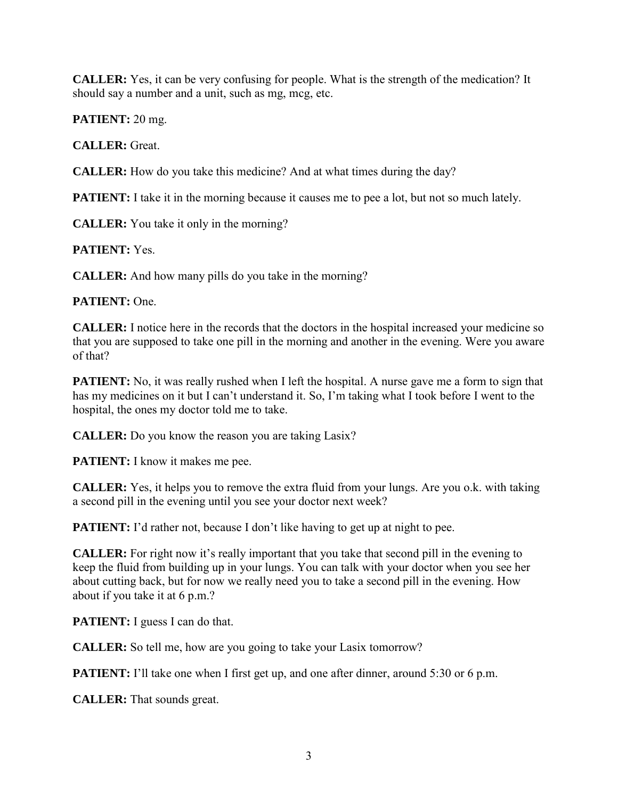**CALLER:** Yes, it can be very confusing for people. What is the strength of the medication? It should say a number and a unit, such as mg, mcg, etc.

**PATIENT:** 20 mg.

**CALLER:** Great.

**CALLER:** How do you take this medicine? And at what times during the day?

**PATIENT:** I take it in the morning because it causes me to pee a lot, but not so much lately.

**CALLER:** You take it only in the morning?

**PATIENT:** Yes.

**CALLER:** And how many pills do you take in the morning?

## **PATIENT:** One.

**CALLER:** I notice here in the records that the doctors in the hospital increased your medicine so that you are supposed to take one pill in the morning and another in the evening. Were you aware of that?

**PATIENT:** No, it was really rushed when I left the hospital. A nurse gave me a form to sign that has my medicines on it but I can't understand it. So, I'm taking what I took before I went to the hospital, the ones my doctor told me to take.

**CALLER:** Do you know the reason you are taking Lasix?

**PATIENT:** I know it makes me pee.

**CALLER:** Yes, it helps you to remove the extra fluid from your lungs. Are you o.k. with taking a second pill in the evening until you see your doctor next week?

**PATIENT:** I'd rather not, because I don't like having to get up at night to pee.

**CALLER:** For right now it's really important that you take that second pill in the evening to keep the fluid from building up in your lungs. You can talk with your doctor when you see her about cutting back, but for now we really need you to take a second pill in the evening. How about if you take it at 6 p.m.?

**PATIENT:** I guess I can do that.

**CALLER:** So tell me, how are you going to take your Lasix tomorrow?

**PATIENT:** I'll take one when I first get up, and one after dinner, around 5:30 or 6 p.m.

**CALLER:** That sounds great.